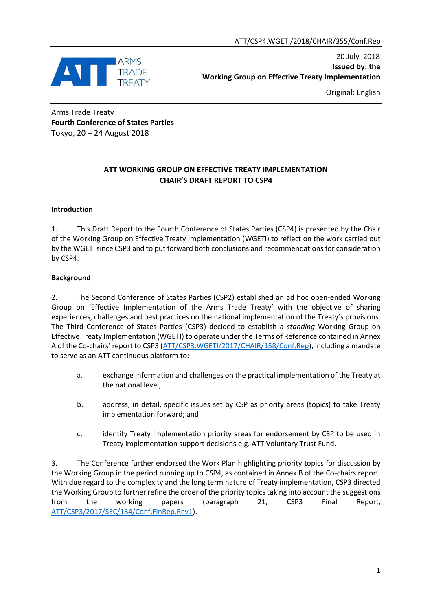

20 July 2018 **Issued by: the Working Group on Effective Treaty Implementation**

Original: English

Arms Trade Treaty **Fourth Conference of States Parties** Tokyo, 20 – 24 August 2018

# **ATT WORKING GROUP ON EFFECTIVE TREATY IMPLEMENTATION CHAIR'S DRAFT REPORT TO CSP4**

# **Introduction**

1. This Draft Report to the Fourth Conference of States Parties (CSP4) is presented by the Chair of the Working Group on Effective Treaty Implementation (WGETI) to reflect on the work carried out by the WGETI since CSP3 and to put forward both conclusions and recommendations for consideration by CSP4.

# **Background**

2. The Second Conference of States Parties (CSP2) established an ad hoc open-ended Working Group on 'Effective Implementation of the Arms Trade Treaty' with the objective of sharing experiences, challenges and best practices on the national implementation of the Treaty's provisions. The Third Conference of States Parties (CSP3) decided to establish a *standing* Working Group on Effective Treaty Implementation (WGETI) to operate under the Terms of Reference contained in Annex A of the Co-chairs' report to CSP3 ([ATT/CSP3.WGETI/2017/CHAIR/158/Conf.Rep\)](http://www.thearmstradetreaty.org/images/CSP3_Documents/Conference_Documents/WGETI_-_Draft_Report_to_CSP3_-_EN.pdf), including a mandate to serve as an ATT continuous platform to:

- a. exchange information and challenges on the practical implementation of the Treaty at the national level;
- b. address, in detail, specific issues set by CSP as priority areas (topics) to take Treaty implementation forward; and
- c. identify Treaty implementation priority areas for endorsement by CSP to be used in Treaty implementation support decisions e.g. ATT Voluntary Trust Fund.

3. The Conference further endorsed the Work Plan highlighting priority topics for discussion by the Working Group in the period running up to CSP4, as contained in Annex B of the Co-chairs report. With due regard to the complexity and the long term nature of Treaty implementation, CSP3 directed the Working Group to further refine the order of the priority topics taking into account the suggestions from the working papers (paragraph 21, CSP3 Final Report, [ATT/CSP3/2017/SEC/184/Conf.FinRep.Rev1\)](http://www.thearmstradetreaty.org/images/CSP3_Documents/Statements/CSP3_Draft_Final_Report-_ATT.CSP3.2017.SEC.184.Conf.FinRep.Rev1.pdf).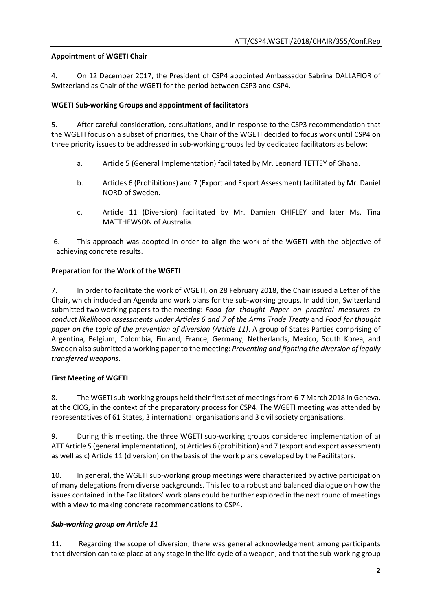# **Appointment of WGETI Chair**

4. On 12 December 2017, the President of CSP4 appointed Ambassador Sabrina DALLAFIOR of Switzerland as Chair of the WGETI for the period between CSP3 and CSP4.

# **WGETI Sub-working Groups and appointment of facilitators**

5. After careful consideration, consultations, and in response to the CSP3 recommendation that the WGETI focus on a subset of priorities, the Chair of the WGETI decided to focus work until CSP4 on three priority issues to be addressed in sub-working groups led by dedicated facilitators as below:

- a. Article 5 (General Implementation) facilitated by Mr. Leonard TETTEY of Ghana.
- b. Articles 6 (Prohibitions) and 7 (Export and Export Assessment) facilitated by Mr. Daniel NORD of Sweden.
- c. Article 11 (Diversion) facilitated by Mr. Damien CHIFLEY and later Ms. Tina MATTHEWSON of Australia.

6. This approach was adopted in order to align the work of the WGETI with the objective of achieving concrete results.

# **Preparation for the Work of the WGETI**

7. In order to facilitate the work of WGETI, on 28 February 2018, the Chair issued a [Letter of the](http://www.thearmstradetreaty.org/images/CSP4/CSP4_preparatory_process/March_WG__Prep_Meetings/ATT_WGETI_CSP4_Chair_Letter_and_Sub-Workgroups_Plans.pdf)  [Chair,](http://www.thearmstradetreaty.org/images/CSP4/CSP4_preparatory_process/March_WG__Prep_Meetings/ATT_WGETI_CSP4_Chair_Letter_and_Sub-Workgroups_Plans.pdf) which included an Agenda and work plans for the sub-working groups. In addition, Switzerland submitted two working papers to the meeting: *[Food for thought Paper on practical measures to](http://www.thearmstradetreaty.org/images/CSP4/CSP4_preparatory_process/March_WG__Prep_Meetings/ATT_WGETI_CSP4_Food_for_thought_Articles_67CHE.pdf)  [conduct likelihood assessments under Articles 6 and 7 of the Arms Trade Treaty](http://www.thearmstradetreaty.org/images/CSP4/CSP4_preparatory_process/March_WG__Prep_Meetings/ATT_WGETI_CSP4_Food_for_thought_Articles_67CHE.pdf)* and *[Food for thought](http://www.thearmstradetreaty.org/images/CSP4/CSP4_preparatory_process/March_WG__Prep_Meetings/ATT_WGETI_CSP4_Food_for_thought_on_the_topic_of_the_prevention_of_diversion_Article_11CHE.pdf)  [paper on the topic of the prevention of diversion \(Article 11\)](http://www.thearmstradetreaty.org/images/CSP4/CSP4_preparatory_process/March_WG__Prep_Meetings/ATT_WGETI_CSP4_Food_for_thought_on_the_topic_of_the_prevention_of_diversion_Article_11CHE.pdf)*. A group of States Parties comprising of Argentina, Belgium, Colombia, Finland, France, Germany, Netherlands, Mexico, South Korea, and Sweden also submitted a working paper to the meeting: *[Preventing and fighting the diversion of legally](http://www.thearmstradetreaty.org/images/CSP4/CSP4_preparatory_process/March_WG__Prep_Meetings/ATT_WGETI_CSP4_WP_Diversion_France_et_al.pdf)  [transferred weapons](http://www.thearmstradetreaty.org/images/CSP4/CSP4_preparatory_process/March_WG__Prep_Meetings/ATT_WGETI_CSP4_WP_Diversion_France_et_al.pdf)*.

# **First Meeting of WGETI**

8. The WGETI sub-working groups held their first set of meetings from 6-7 March 2018 in Geneva, at the CICG, in the context of the preparatory process for CSP4. The WGETI meeting was attended by representatives of 61 States, 3 international organisations and 3 civil society organisations.

9. During this meeting, the three WGETI sub-working groups considered implementation of a) ATT Article 5 (general implementation), b) Articles 6 (prohibition) and 7 (export and export assessment) as well as c) Article 11 (diversion) on the basis of the work plans developed by the Facilitators.

10. In general, the WGETI sub-working group meetings were characterized by active participation of many delegations from diverse backgrounds. This led to a robust and balanced dialogue on how the issues contained in the Facilitators' work plans could be further explored in the next round of meetings with a view to making concrete recommendations to CSP4.

# *Sub-working group on Article 11*

11. Regarding the scope of diversion, there was general acknowledgement among participants that diversion can take place at any stage in the life cycle of a weapon, and that the sub-working group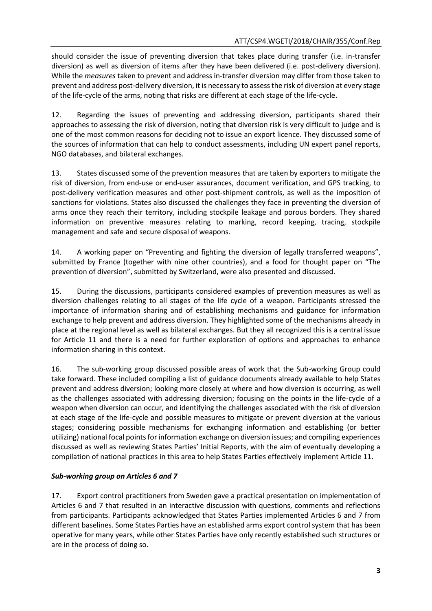should consider the issue of preventing diversion that takes place during transfer (i.e. in-transfer diversion) as well as diversion of items after they have been delivered (i.e. post-delivery diversion). While the *measures* taken to prevent and address in-transfer diversion may differ from those taken to prevent and address post-delivery diversion, it is necessary to assessthe risk of diversion at every stage of the life-cycle of the arms, noting that risks are different at each stage of the life-cycle.

12. Regarding the issues of preventing and addressing diversion, participants shared their approaches to assessing the risk of diversion, noting that diversion risk is very difficult to judge and is one of the most common reasons for deciding not to issue an export licence. They discussed some of the sources of information that can help to conduct assessments, including UN expert panel reports, NGO databases, and bilateral exchanges.

13. States discussed some of the prevention measures that are taken by exporters to mitigate the risk of diversion, from end-use or end-user assurances, document verification, and GPS tracking, to post-delivery verification measures and other post-shipment controls, as well as the imposition of sanctions for violations. States also discussed the challenges they face in preventing the diversion of arms once they reach their territory, including stockpile leakage and porous borders. They shared information on preventive measures relating to marking, record keeping, tracing, stockpile management and safe and secure disposal of weapons.

14. A working paper on "Preventing and fighting the diversion of legally transferred weapons", submitted by France (together with nine other countries), and a food for thought paper on "The prevention of diversion", submitted by Switzerland, were also presented and discussed.

15. During the discussions, participants considered examples of prevention measures as well as diversion challenges relating to all stages of the life cycle of a weapon. Participants stressed the importance of information sharing and of establishing mechanisms and guidance for information exchange to help prevent and address diversion. They highlighted some of the mechanisms already in place at the regional level as well as bilateral exchanges. But they all recognized this is a central issue for Article 11 and there is a need for further exploration of options and approaches to enhance information sharing in this context.

16. The sub-working group discussed possible areas of work that the Sub-working Group could take forward. These included compiling a list of guidance documents already available to help States prevent and address diversion; looking more closely at where and how diversion is occurring, as well as the challenges associated with addressing diversion; focusing on the points in the life-cycle of a weapon when diversion can occur, and identifying the challenges associated with the risk of diversion at each stage of the life-cycle and possible measures to mitigate or prevent diversion at the various stages; considering possible mechanisms for exchanging information and establishing (or better utilizing) national focal points for information exchange on diversion issues; and compiling experiences discussed as well as reviewing States Parties' Initial Reports, with the aim of eventually developing a compilation of national practices in this area to help States Parties effectively implement Article 11.

# *Sub-working group on Articles 6 and 7*

17. Export control practitioners from Sweden gave a practical presentation on implementation of Articles 6 and 7 that resulted in an interactive discussion with questions, comments and reflections from participants. Participants acknowledged that States Parties implemented Articles 6 and 7 from different baselines. Some States Parties have an established arms export control system that has been operative for many years, while other States Parties have only recently established such structures or are in the process of doing so.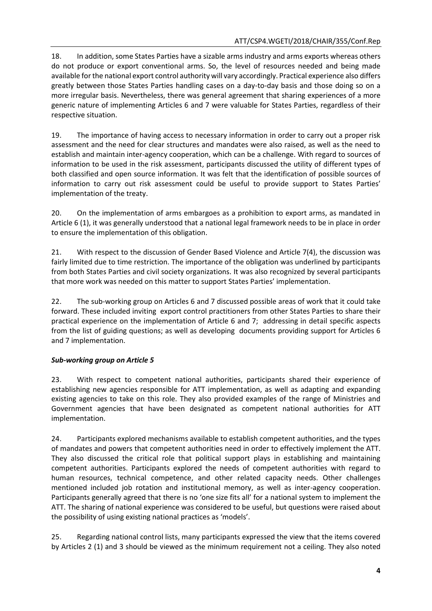18. In addition, some States Parties have a sizable arms industry and arms exports whereas others do not produce or export conventional arms. So, the level of resources needed and being made available forthe national export control authority will vary accordingly. Practical experience also differs greatly between those States Parties handling cases on a day-to-day basis and those doing so on a more irregular basis. Nevertheless, there was general agreement that sharing experiences of a more generic nature of implementing Articles 6 and 7 were valuable for States Parties, regardless of their respective situation.

19. The importance of having access to necessary information in order to carry out a proper risk assessment and the need for clear structures and mandates were also raised, as well as the need to establish and maintain inter-agency cooperation, which can be a challenge. With regard to sources of information to be used in the risk assessment, participants discussed the utility of different types of both classified and open source information. It was felt that the identification of possible sources of information to carry out risk assessment could be useful to provide support to States Parties' implementation of the treaty.

20. On the implementation of arms embargoes as a prohibition to export arms, as mandated in Article 6 (1), it was generally understood that a national legal framework needs to be in place in order to ensure the implementation of this obligation.

21. With respect to the discussion of Gender Based Violence and Article 7(4), the discussion was fairly limited due to time restriction. The importance of the obligation was underlined by participants from both States Parties and civil society organizations. It was also recognized by several participants that more work was needed on this matter to support States Parties' implementation.

22. The sub-working group on Articles 6 and 7 discussed possible areas of work that it could take forward. These included inviting export control practitioners from other States Parties to share their practical experience on the implementation of Article 6 and 7; addressing in detail specific aspects from the list of guiding questions; as well as developing documents providing support for Articles 6 and 7 implementation.

# *Sub-working group on Article 5*

23. With respect to competent national authorities, participants shared their experience of establishing new agencies responsible for ATT implementation, as well as adapting and expanding existing agencies to take on this role. They also provided examples of the range of Ministries and Government agencies that have been designated as competent national authorities for ATT implementation.

24. Participants explored mechanisms available to establish competent authorities, and the types of mandates and powers that competent authorities need in order to effectively implement the ATT. They also discussed the critical role that political support plays in establishing and maintaining competent authorities. Participants explored the needs of competent authorities with regard to human resources, technical competence, and other related capacity needs. Other challenges mentioned included job rotation and institutional memory, as well as inter-agency cooperation. Participants generally agreed that there is no 'one size fits all' for a national system to implement the ATT. The sharing of national experience was considered to be useful, but questions were raised about the possibility of using existing national practices as 'models'.

25. Regarding national control lists, many participants expressed the view that the items covered by Articles 2 (1) and 3 should be viewed as the minimum requirement not a ceiling. They also noted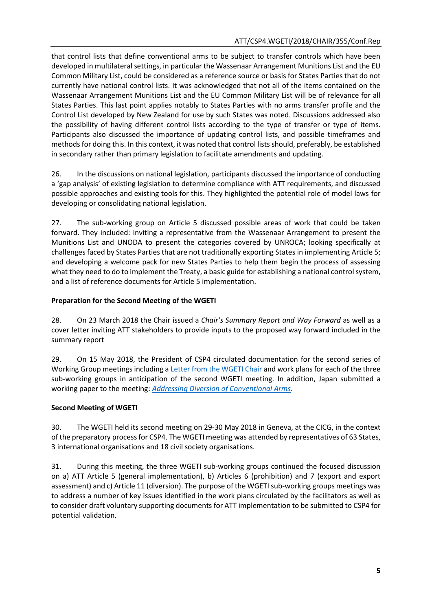that control lists that define conventional arms to be subject to transfer controls which have been developed in multilateral settings, in particular the Wassenaar Arrangement Munitions List and the EU Common Military List, could be considered as a reference source or basis for States Parties that do not currently have national control lists. It was acknowledged that not all of the items contained on the Wassenaar Arrangement Munitions List and the EU Common Military List will be of relevance for all States Parties. This last point applies notably to States Parties with no arms transfer profile and the Control List developed by New Zealand for use by such States was noted. Discussions addressed also the possibility of having different control lists according to the type of transfer or type of items. Participants also discussed the importance of updating control lists, and possible timeframes and methods for doing this. In this context, it was noted that control lists should, preferably, be established in secondary rather than primary legislation to facilitate amendments and updating.

26. In the discussions on national legislation, participants discussed the importance of conducting a 'gap analysis' of existing legislation to determine compliance with ATT requirements, and discussed possible approaches and existing tools for this. They highlighted the potential role of model laws for developing or consolidating national legislation.

27. The sub-working group on Article 5 discussed possible areas of work that could be taken forward. They included: inviting a representative from the Wassenaar Arrangement to present the Munitions List and UNODA to present the categories covered by UNROCA; looking specifically at challenges faced by States Parties that are not traditionally exporting States in implementing Article 5; and developing a welcome pack for new States Parties to help them begin the process of assessing what they need to do to implement the Treaty, a basic guide for establishing a national control system, and a list of reference documents for Article 5 implementation.

# **Preparation for the Second Meeting of the WGETI**

28. On 23 March 2018 the Chair issued a *Chair's Summary Report and Way Forward* as well as a cover letter inviting ATT stakeholders to provide inputs to the proposed way forward included in the summary report

29. On 15 May 2018, the President of CSP4 circulated documentation for the second series of Working Group meetings including a [Letter from the WGETI Chair](http://www.thearmstradetreaty.org/images/CSP4/CSP4_preparatory_process/May_WG_Prep_Meetings/ATT_WGETI_CSP4_Chair_Letter.pdf) and work plans for each of the three sub-working groups in anticipation of the second WGETI meeting. In addition, Japan submitted a working paper to the meeting: *[Addressing Diversion of Conventional Arms](http://www.thearmstradetreaty.org/images/CSP4/CSP4_preparatory_process/May_WG_Prep_Meetings/Working_Paper_-_Japan_-_Addressing_Diversion_in_Conventional_Arms_25_May_2018.pdf)*.

# **Second Meeting of WGETI**

30. The WGETI held its second meeting on 29-30 May 2018 in Geneva, at the CICG, in the context of the preparatory process for CSP4. The WGETI meeting was attended by representatives of 63 States, 3 international organisations and 18 civil society organisations.

31. During this meeting, the three WGETI sub-working groups continued the focused discussion on a) ATT Article 5 (general implementation), b) Articles 6 (prohibition) and 7 (export and export assessment) and c) Article 11 (diversion). The purpose of the WGETI sub-working groups meetings was to address a number of key issues identified in the work plans circulated by the facilitators as well as to consider draft voluntary supporting documents for ATT implementation to be submitted to CSP4 for potential validation.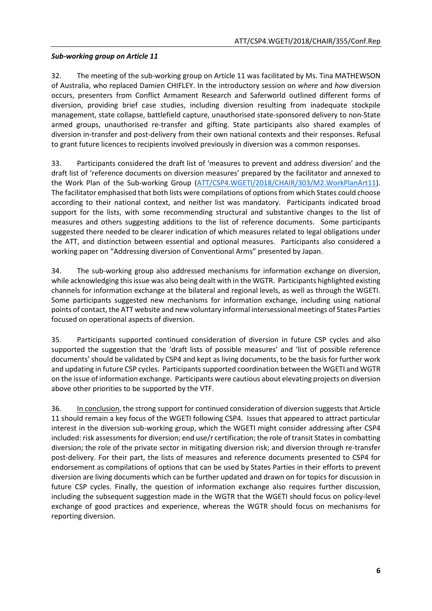# *Sub-working group on Article 11*

32. The meeting of the sub-working group on Article 11 was facilitated by Ms. Tina MATHEWSON of Australia, who replaced Damien CHIFLEY. In the introductory session on *where* and *how* diversion occurs, presenters from Conflict Armament Research and Saferworld outlined different forms of diversion, providing brief case studies, including diversion resulting from inadequate stockpile management, state collapse, battlefield capture, unauthorised state-sponsored delivery to non-State armed groups, unauthorised re-transfer and gifting. State participants also shared examples of diversion in-transfer and post-delivery from their own national contexts and their responses. Refusal to grant future licences to recipients involved previously in diversion was a common responses.

33. Participants considered the draft list of 'measures to prevent and address diversion' and the draft list of 'reference documents on diversion measures' prepared by the facilitator and annexed to the Work Plan of the Sub-working Group [\(ATT/CSP4.WGETI/2018/CHAIR/303/M2.WorkPlanArt11\)](http://www.thearmstradetreaty.org/images/CSP4/CSP4_preparatory_process/May_WG_Prep_Meetings/ATT_WGETI_CSP4_Sub-Working_Group_Art_11.pdf). The facilitator emphasised that both lists were compilations of options from which States could choose according to their national context, and neither list was mandatory. Participants indicated broad support for the lists, with some recommending structural and substantive changes to the list of measures and others suggesting additions to the list of reference documents. Some participants suggested there needed to be clearer indication of which measures related to legal obligations under the ATT, and distinction between essential and optional measures. Participants also considered a working paper on "Addressing diversion of Conventional Arms" presented by Japan.

34. The sub-working group also addressed mechanisms for information exchange on diversion, while acknowledging this issue was also being dealt with in the WGTR. Participants highlighted existing channels for information exchange at the bilateral and regional levels, as well as through the WGETI. Some participants suggested new mechanisms for information exchange, including using national points of contact, the ATT website and new voluntary informal intersessional meetings of States Parties focused on operational aspects of diversion.

35. Participants supported continued consideration of diversion in future CSP cycles and also supported the suggestion that the 'draft lists of possible measures' and 'list of possible reference documents' should be validated by CSP4 and kept as living documents, to be the basis for further work and updating in future CSP cycles. Participants supported coordination between the WGETI and WGTR on the issue of information exchange. Participants were cautious about elevating projects on diversion above other priorities to be supported by the VTF.

36. In conclusion, the strong support for continued consideration of diversion suggests that Article 11 should remain a key focus of the WGETI following CSP4. Issues that appeared to attract particular interest in the diversion sub-working group, which the WGETI might consider addressing after CSP4 included: risk assessments for diversion; end use/r certification; the role of transit States in combatting diversion; the role of the private sector in mitigating diversion risk; and diversion through re-transfer post-delivery. For their part, the lists of measures and reference documents presented to CSP4 for endorsement as compilations of options that can be used by States Parties in their efforts to prevent diversion are living documents which can be further updated and drawn on for topics for discussion in future CSP cycles. Finally, the question of information exchange also requires further discussion, including the subsequent suggestion made in the WGTR that the WGETI should focus on policy-level exchange of good practices and experience, whereas the WGTR should focus on mechanisms for reporting diversion.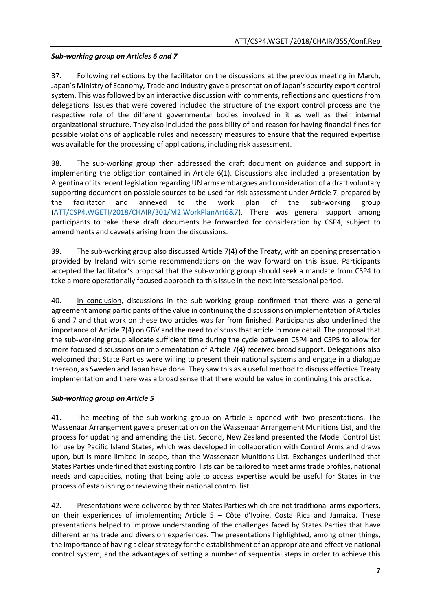# *Sub-working group on Articles 6 and 7*

37. Following reflections by the facilitator on the discussions at the previous meeting in March, Japan's Ministry of Economy, Trade and Industry gave a presentation of Japan's security export control system. This was followed by an interactive discussion with comments, reflections and questions from delegations. Issues that were covered included the structure of the export control process and the respective role of the different governmental bodies involved in it as well as their internal organizational structure. They also included the possibility of and reason for having financial fines for possible violations of applicable rules and necessary measures to ensure that the required expertise was available for the processing of applications, including risk assessment.

38. The sub-working group then addressed the draft document on guidance and support in implementing the obligation contained in Article 6(1). Discussions also included a presentation by Argentina of its recent legislation regarding UN arms embargoes and consideration of a draft voluntary supporting document on possible sources to be used for risk assessment under Article 7, prepared by the facilitator and annexed to the work plan of the sub-working group [\(ATT/CSP4.WGETI/2018/CHAIR/301/M2.WorkPlanArt6&7\)](http://www.thearmstradetreaty.org/images/CSP4/CSP4_preparatory_process/May_WG_Prep_Meetings/ATT_WGETI_CSP4_Sub-Working_Group_Art_6__7.pdf). There was general support among participants to take these draft documents be forwarded for consideration by CSP4, subject to amendments and caveats arising from the discussions.

39. The sub-working group also discussed Article 7(4) of the Treaty, with an opening presentation provided by Ireland with some recommendations on the way forward on this issue. Participants accepted the facilitator's proposal that the sub-working group should seek a mandate from CSP4 to take a more operationally focused approach to this issue in the next intersessional period.

40. In conclusion, discussions in the sub-working group confirmed that there was a general agreement among participants of the value in continuing the discussions on implementation of Articles 6 and 7 and that work on these two articles was far from finished. Participants also underlined the importance of Article 7(4) on GBV and the need to discuss that article in more detail. The proposal that the sub-working group allocate sufficient time during the cycle between CSP4 and CSP5 to allow for more focused discussions on implementation of Article 7(4) received broad support. Delegations also welcomed that State Parties were willing to present their national systems and engage in a dialogue thereon, as Sweden and Japan have done. They saw this as a useful method to discuss effective Treaty implementation and there was a broad sense that there would be value in continuing this practice.

# *Sub-working group on Article 5*

41. The meeting of the sub-working group on Article 5 opened with two presentations. The Wassenaar Arrangement gave a presentation on the Wassenaar Arrangement Munitions List, and the process for updating and amending the List. Second, New Zealand presented the Model Control List for use by Pacific Island States, which was developed in collaboration with Control Arms and draws upon, but is more limited in scope, than the Wassenaar Munitions List. Exchanges underlined that States Parties underlined that existing control lists can be tailored to meet arms trade profiles, national needs and capacities, noting that being able to access expertise would be useful for States in the process of establishing or reviewing their national control list.

42. Presentations were delivered by three States Parties which are not traditional arms exporters, on their experiences of implementing Article 5 – Côte d'Ivoire, Costa Rica and Jamaica. These presentations helped to improve understanding of the challenges faced by States Parties that have different arms trade and diversion experiences. The presentations highlighted, among other things, the importance of having a clear strategy forthe establishment of an appropriate and effective national control system, and the advantages of setting a number of sequential steps in order to achieve this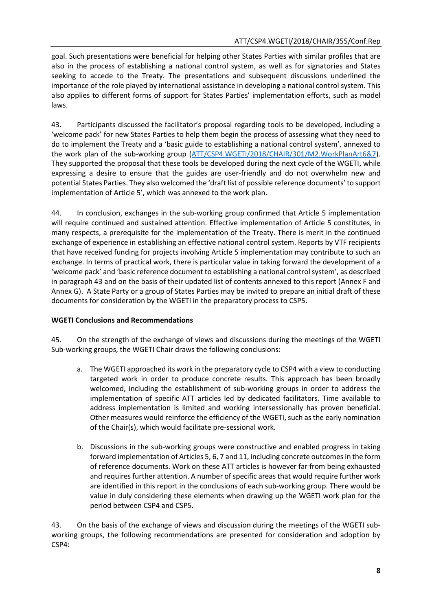goal. Such presentations were beneficial for helping other States Parties with similar profiles that are also in the process of establishing a national control system, as well as for signatories and States seeking to accede to the Treaty. The presentations and subsequent discussions underlined the importance of the role played by international assistance in developing a national control system. This also applies to different forms of support for States Parties' implementation efforts, such as model laws.

43. Participants discussed the facilitator's proposal regarding tools to be developed, including a 'welcome pack' for new States Parties to help them begin the process of assessing what they need to do to implement the Treaty and a 'basic guide to establishing a national control system', annexed to the work plan of the sub-working group [\(ATT/CSP4.WGETI/2018/CHAIR/301/M2.WorkPlanArt6&7\)](http://www.thearmstradetreaty.org/images/CSP4/CSP4_preparatory_process/May_WG_Prep_Meetings/ATT_WGETI_CSP4_Sub-Working_Group_Art_6__7.pdf). They supported the proposal that these tools be developed during the next cycle of the WGETI, while expressing a desire to ensure that the guides are user-friendly and do not overwhelm new and potential States Parties. They also welcomed the 'draft list of possible reference documents' to support implementation of Article 5', which was annexed to the work plan.

44. In conclusion, exchanges in the sub-working group confirmed that Article 5 implementation will require continued and sustained attention. Effective implementation of Article 5 constitutes, in many respects, a prerequisite for the implementation of the Treaty. There is merit in the continued exchange of experience in establishing an effective national control system. Reports by VTF recipients that have received funding for projects involving Article 5 implementation may contribute to such an exchange. In terms of practical work, there is particular value in taking forward the development of a 'welcome pack' and 'basic reference document to establishing a national control system', as described in paragraph 43 and on the basis of their updated list of contents annexed to this report (Annex F and Annex G). A State Party or a group of States Parties may be invited to prepare an initial draft of these documents for consideration by the WGETI in the preparatory process to CSP5.

# **WGETI Conclusions and Recommendations**

45. On the strength of the exchange of views and discussions during the meetings of the WGETI Sub-working groups, the WGETI Chair draws the following conclusions:

- a. The WGETI approached its work in the preparatory cycle to CSP4 with a view to conducting targeted work in order to produce concrete results. This approach has been broadly welcomed, including the establishment of sub-working groups in order to address the implementation of specific ATT articles led by dedicated facilitators. Time available to address implementation is limited and working intersessionally has proven beneficial. Other measures would reinforce the efficiency of the WGETI, such as the early nomination of the Chair(s), which would facilitate pre-sessional work.
- b. Discussions in the sub-working groups were constructive and enabled progress in taking forward implementation of Articles 5, 6, 7 and 11, including concrete outcomes in the form of reference documents. Work on these ATT articles is however far from being exhausted and requires further attention. A number of specific areas that would require further work are identified in this report in the conclusions of each sub-working group. There would be value in duly considering these elements when drawing up the WGETI work plan for the period between CSP4 and CSP5.

43. On the basis of the exchange of views and discussion during the meetings of the WGETI subworking groups, the following recommendations are presented for consideration and adoption by CSP4: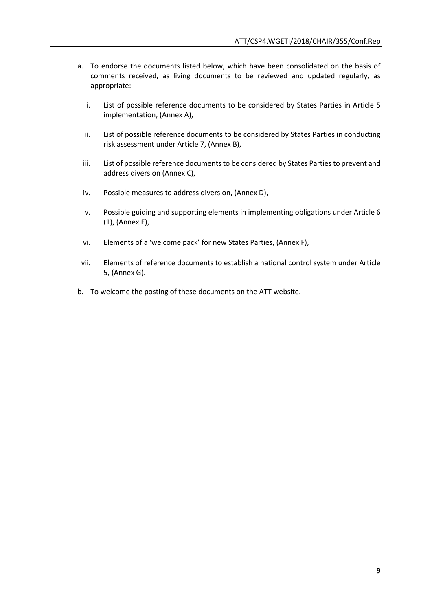- a. To endorse the documents listed below, which have been consolidated on the basis of comments received, as living documents to be reviewed and updated regularly, as appropriate:
	- i. List of possible reference documents to be considered by States Parties in Article 5 implementation, (Annex A),
	- ii. List of possible reference documents to be considered by States Parties in conducting risk assessment under Article 7, (Annex B),
	- iii. List of possible reference documents to be considered by States Parties to prevent and address diversion (Annex C),
	- iv. Possible measures to address diversion, (Annex D),
	- v. Possible guiding and supporting elements in implementing obligations under Article 6 (1), (Annex E),
	- vi. Elements of a 'welcome pack' for new States Parties, (Annex F),
- vii. Elements of reference documents to establish a national control system under Article 5, (Annex G).
- b. To welcome the posting of these documents on the ATT website.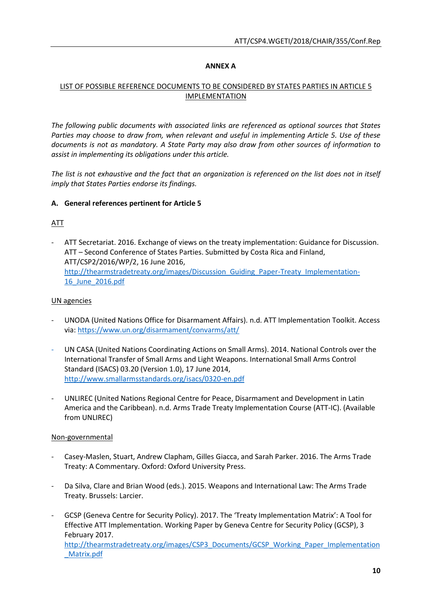### **ANNEX A**

# LIST OF POSSIBLE REFERENCE DOCUMENTS TO BE CONSIDERED BY STATES PARTIES IN ARTICLE 5 IMPLEMENTATION

*The following public documents with associated links are referenced as optional sources that States Parties may choose to draw from, when relevant and useful in implementing Article 5. Use of these documents is not as mandatory. A State Party may also draw from other sources of information to assist in implementing its obligations under this article.* 

*The list is not exhaustive and the fact that an organization is referenced on the list does not in itself imply that States Parties endorse its findings.* 

### **A. General references pertinent for Article 5**

ATT

- ATT Secretariat. 2016. Exchange of views on the treaty implementation: Guidance for Discussion. ATT – Second Conference of States Parties. Submitted by Costa Rica and Finland, ATT/CSP2/2016/WP/2, 16 June 2016, [http://thearmstradetreaty.org/images/Discussion\\_Guiding\\_Paper-Treaty\\_Implementation-](http://thearmstradetreaty.org/images/Discussion_Guiding_Paper-Treaty_Implementation-16_June_2016.pdf)[16\\_June\\_2016.pdf](http://thearmstradetreaty.org/images/Discussion_Guiding_Paper-Treaty_Implementation-16_June_2016.pdf)

### UN agencies

- UNODA (United Nations Office for Disarmament Affairs). n.d. ATT Implementation Toolkit. Access via:<https://www.un.org/disarmament/convarms/att/>
- UN CASA (United Nations Coordinating Actions on Small Arms). 2014. National Controls over the International Transfer of Small Arms and Light Weapons. International Small Arms Control Standard (ISACS) 03.20 (Version 1.0), 17 June 2014, <http://www.smallarmsstandards.org/isacs/0320-en.pdf>
- UNLIREC (United Nations Regional Centre for Peace, Disarmament and Development in Latin America and the Caribbean). n.d. Arms Trade Treaty Implementation Course (ATT-IC). (Available from UNLIREC)

#### Non-governmental

- Casey-Maslen, Stuart, Andrew Clapham, Gilles Giacca, and Sarah Parker. 2016. The Arms Trade Treaty: A Commentary. Oxford: Oxford University Press.
- Da Silva, Clare and Brian Wood (eds.). 2015. Weapons and International Law: The Arms Trade Treaty. Brussels: Larcier.
- GCSP (Geneva Centre for Security Policy). 2017. The 'Treaty Implementation Matrix': A Tool for Effective ATT Implementation. Working Paper by Geneva Centre for Security Policy (GCSP), 3 February 2017. [http://thearmstradetreaty.org/images/CSP3\\_Documents/GCSP\\_Working\\_Paper\\_Implementation](http://thearmstradetreaty.org/images/CSP3_Documents/GCSP_Working_Paper_Implementation_Matrix.pdf) [\\_Matrix.pdf](http://thearmstradetreaty.org/images/CSP3_Documents/GCSP_Working_Paper_Implementation_Matrix.pdf)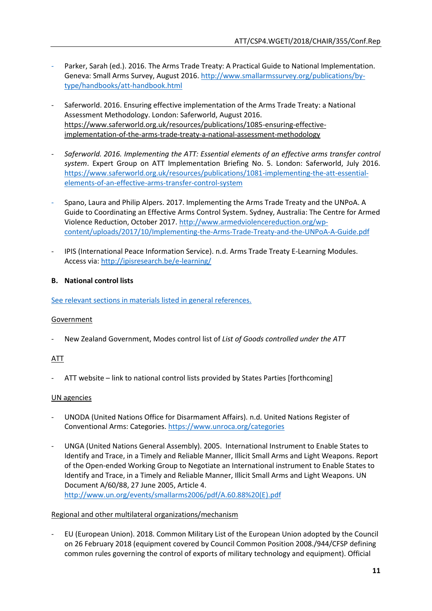- Parker, Sarah (ed.). 2016. The Arms Trade Treaty: A Practical Guide to National Implementation. Geneva: Small Arms Survey, August 2016. [http://www.smallarmssurvey.org/publications/by](http://www.smallarmssurvey.org/publications/by-type/handbooks/att-handbook.html)[type/handbooks/att-handbook.html](http://www.smallarmssurvey.org/publications/by-type/handbooks/att-handbook.html)
- Saferworld. 2016. Ensuring effective implementation of the Arms Trade Treaty: a National Assessment Methodology. London: Saferworld, August 2016. [https://www.saferworld.org.uk/resources/publications/1085-ensuring-effective](https://www.saferworld.org.uk/resources/publications/1085-ensuring-effective-implementation-of-the-arms-trade-treaty-a-national-assessment-methodology)[implementation-of-the-arms-trade-treaty-a-national-assessment-methodology](https://www.saferworld.org.uk/resources/publications/1085-ensuring-effective-implementation-of-the-arms-trade-treaty-a-national-assessment-methodology)
- *Saferworld. 2016. Implementing the ATT: Essential elements of an effective arms transfer control system*. Expert Group on ATT Implementation Briefing No. 5. London: Saferworld, July 2016. [https://www.saferworld.org.uk/resources/publications/1081-implementing-the-att-essential](https://www.saferworld.org.uk/resources/publications/1081-implementing-the-att-essential-elements-of-an-effective-arms-transfer-control-system)[elements-of-an-effective-arms-transfer-control-system](https://www.saferworld.org.uk/resources/publications/1081-implementing-the-att-essential-elements-of-an-effective-arms-transfer-control-system)
- Spano, Laura and Philip Alpers. 2017. Implementing the Arms Trade Treaty and the UNPoA. A Guide to Coordinating an Effective Arms Control System. Sydney, Australia: The Centre for Armed Violence Reduction, October 2017. [http://www.armedviolencereduction.org/wp](http://www.armedviolencereduction.org/wp-content/uploads/2017/10/Implementing-the-Arms-Trade-Treaty-and-the-UNPoA-A-Guide.pdf)[content/uploads/2017/10/Implementing-the-Arms-Trade-Treaty-and-the-UNPoA-A-Guide.pdf](http://www.armedviolencereduction.org/wp-content/uploads/2017/10/Implementing-the-Arms-Trade-Treaty-and-the-UNPoA-A-Guide.pdf)
- IPIS (International Peace Information Service). n.d. Arms Trade Treaty E-Learning Modules. Access via:<http://ipisresearch.be/e-learning/>

# **B. National control lists**

See relevant sections in materials listed in general references.

# Government

- New Zealand Government, Modes control list of *List of Goods controlled under the ATT*

# ATT

ATT website – link to national control lists provided by States Parties [forthcoming]

#### UN agencies

- UNODA (United Nations Office for Disarmament Affairs). n.d. United Nations Register of Conventional Arms: Categories.<https://www.unroca.org/categories>
- UNGA (United Nations General Assembly). 2005. International Instrument to Enable States to Identify and Trace, in a Timely and Reliable Manner, Illicit Small Arms and Light Weapons. Report of the Open-ended Working Group to Negotiate an International instrument to Enable States to Identify and Trace, in a Timely and Reliable Manner, Illicit Small Arms and Light Weapons. UN Document A/60/88, 27 June 2005, Article 4. [http://www.un.org/events/smallarms2006/pdf/A.60.88%20\(E\).pdf](http://www.un.org/events/smallarms2006/pdf/A.60.88%20(E).pdf)

#### Regional and other multilateral organizations/mechanism

- EU (European Union). 2018. Common Military List of the European Union adopted by the Council on 26 February 2018 (equipment covered by Council Common Position 2008./944/CFSP defining common rules governing the control of exports of military technology and equipment). Official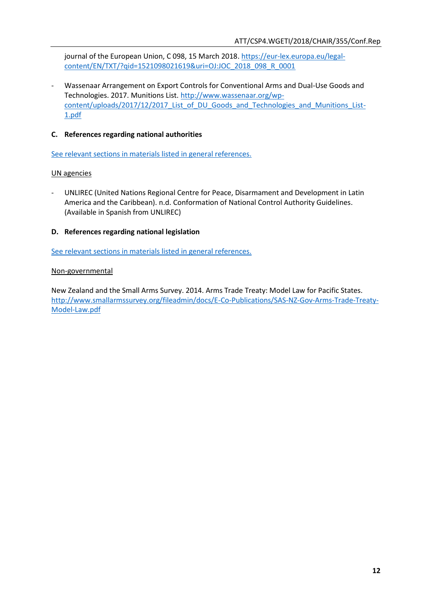journal of the European Union, C 098, 15 March 2018. [https://eur-lex.europa.eu/legal](https://eur-lex.europa.eu/legal-content/EN/TXT/?qid=1521098021619&uri=OJ:JOC_2018_098_R_0001)[content/EN/TXT/?qid=1521098021619&uri=OJ:JOC\\_2018\\_098\\_R\\_0001](https://eur-lex.europa.eu/legal-content/EN/TXT/?qid=1521098021619&uri=OJ:JOC_2018_098_R_0001)

- Wassenaar Arrangement on Export Controls for Conventional Arms and Dual-Use Goods and Technologies. 2017. Munitions List. [http://www.wassenaar.org/wp](http://www.wassenaar.org/wp-content/uploads/2017/12/2017_List_of_DU_Goods_and_Technologies_and_Munitions_List-1.pdf)content/uploads/2017/12/2017 List of DU Goods and Technologies and Munitions List-[1.pdf](http://www.wassenaar.org/wp-content/uploads/2017/12/2017_List_of_DU_Goods_and_Technologies_and_Munitions_List-1.pdf)

# **C. References regarding national authorities**

See relevant sections in materials listed in general references.

### UN agencies

- UNLIREC (United Nations Regional Centre for Peace, Disarmament and Development in Latin America and the Caribbean). n.d. Conformation of National Control Authority Guidelines. (Available in Spanish from UNLIREC)

### **D. References regarding national legislation**

See relevant sections in materials listed in general references.

### Non-governmental

New Zealand and the Small Arms Survey. 2014. Arms Trade Treaty: Model Law for Pacific States. [http://www.smallarmssurvey.org/fileadmin/docs/E-Co-Publications/SAS-NZ-Gov-Arms-Trade-Treaty-](http://www.smallarmssurvey.org/fileadmin/docs/E-Co-Publications/SAS-NZ-Gov-Arms-Trade-Treaty-Model-Law.pdf)[Model-Law.pdf](http://www.smallarmssurvey.org/fileadmin/docs/E-Co-Publications/SAS-NZ-Gov-Arms-Trade-Treaty-Model-Law.pdf)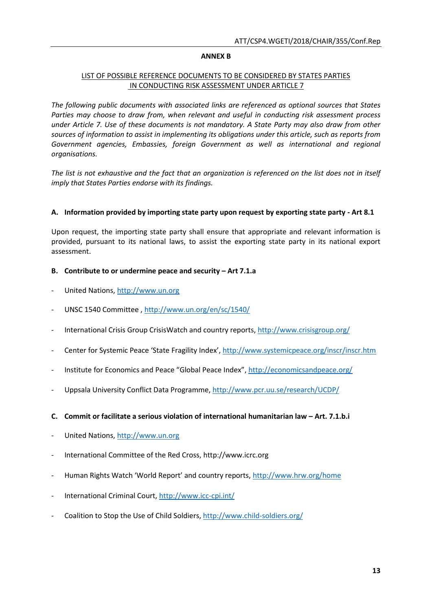#### **ANNEX B**

### LIST OF POSSIBLE REFERENCE DOCUMENTS TO BE CONSIDERED BY STATES PARTIES IN CONDUCTING RISK ASSESSMENT UNDER ARTICLE 7

*The following public documents with associated links are referenced as optional sources that States Parties may choose to draw from, when relevant and useful in conducting risk assessment process under Article 7. Use of these documents is not mandatory. A State Party may also draw from other sources of information to assist in implementing its obligations under this article, such as reports from*  Government agencies, Embassies, foreign Government as well as international and regional *organisations.* 

*The list is not exhaustive and the fact that an organization is referenced on the list does not in itself imply that States Parties endorse with its findings.* 

### **A. Information provided by importing state party upon request by exporting state party - Art 8.1**

Upon request, the importing state party shall ensure that appropriate and relevant information is provided, pursuant to its national laws, to assist the exporting state party in its national export assessment.

### **B. Contribute to or undermine peace and security – Art 7.1.a**

- United Nations, [http://www.un.org](http://www.un.org/)
- UNSC 1540 Committee ,<http://www.un.org/en/sc/1540/>
- International Crisis Group CrisisWatch and country reports,<http://www.crisisgroup.org/>
- Center for Systemic Peace 'State Fragility Index', <http://www.systemicpeace.org/inscr/inscr.htm>
- Institute for Economics and Peace "Global Peace Index", <http://economicsandpeace.org/>
- Uppsala University Conflict Data Programme,<http://www.pcr.uu.se/research/UCDP/>
- **C. Commit or facilitate a serious violation of international humanitarian law – Art. 7.1.b.i**
- United Nations, [http://www.un.org](http://www.un.org/)
- International Committee of the Red Cross, http://www.icrc.org
- Human Rights Watch 'World Report' and country reports, <http://www.hrw.org/home>
- International Criminal Court,<http://www.icc-cpi.int/>
- Coalition to Stop the Use of Child Soldiers,<http://www.child-soldiers.org/>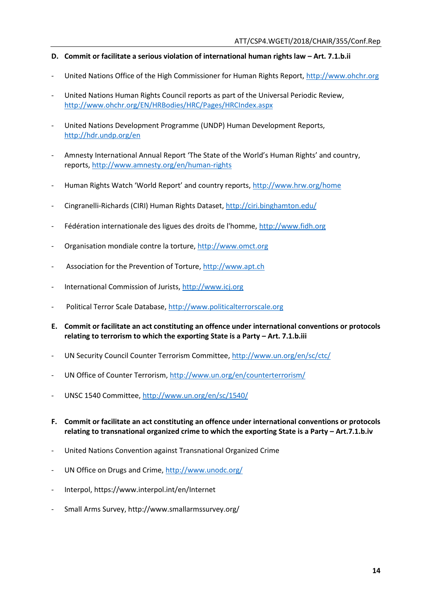### **D.** Commit or facilitate a serious violation of international human rights law – Art. 7.1.b.ii

- United Nations Office of the High Commissioner for Human Rights Report, [http://www.ohchr.org](http://www.ohchr.org/)
- United Nations Human Rights Council reports as part of the Universal Periodic Review, <http://www.ohchr.org/EN/HRBodies/HRC/Pages/HRCIndex.aspx>
- United Nations Development Programme (UNDP) Human Development Reports, <http://hdr.undp.org/en>
- Amnesty International Annual Report 'The State of the World's Human Rights' and country, reports,<http://www.amnesty.org/en/human-rights>
- Human Rights Watch 'World Report' and country reports, <http://www.hrw.org/home>
- Cingranelli-Richards (CIRI) Human Rights Dataset,<http://ciri.binghamton.edu/>
- Fédération internationale des ligues des droits de l'homme, [http://www.fidh.org](http://www.fidh.org/)
- Organisation mondiale contre la torture, [http://www.omct.org](http://www.omct.org/)
- Association for the Prevention of Torture, [http://www.apt.ch](http://www.apt.ch/)
- International Commission of Jurists, [http://www.icj.org](http://www.icj.org/)
- Political Terror Scale Database, [http://www.politicalterrorscale.org](http://www.politicalterrorscale.org/)
- **E. Commit or facilitate an act constituting an offence under international conventions or protocols relating to terrorism to which the exporting State is a Party - Art. 7.1.b.iii**
- UN Security Council Counter Terrorism Committee[, http://www.un.org/en/sc/ctc/](http://www.un.org/en/sc/ctc/)
- UN Office of Counter Terrorism,<http://www.un.org/en/counterterrorism/>
- UNSC 1540 Committee[, http://www.un.org/en/sc/1540/](http://www.un.org/en/sc/1540/)
- **F. Commit or facilitate an act constituting an offence under international conventions or protocols relating to transnational organized crime to which the exporting State is a Party – Art.7.1.b.iv**
- United Nations Convention against Transnational Organized Crime
- UN Office on Drugs and Crime,<http://www.unodc.org/>
- Interpol, https://www.interpol.int/en/Internet
- Small Arms Survey, http://www.smallarmssurvey.org/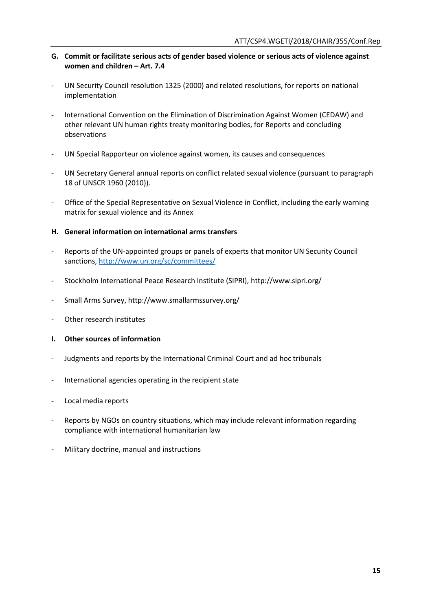- **G. Commit or facilitate serious acts of gender based violence or serious acts of violence against women and children – Art. 7.4**
- UN Security Council resolution 1325 (2000) and related resolutions, for reports on national implementation
- International Convention on the Elimination of Discrimination Against Women (CEDAW) and other relevant UN human rights treaty monitoring bodies, for Reports and concluding observations
- UN Special Rapporteur on violence against women, its causes and consequences
- UN Secretary General annual reports on conflict related sexual violence (pursuant to paragraph 18 of UNSCR 1960 (2010)).
- Office of the Special Representative on Sexual Violence in Conflict, including the early warning matrix for sexual violence and its Annex
- **H. General information on international arms transfers**
- Reports of the UN-appointed groups or panels of experts that monitor UN Security Council sanctions,<http://www.un.org/sc/committees/>
- Stockholm International Peace Research Institute (SIPRI), http://www.sipri.org/
- Small Arms Survey, http://www.smallarmssurvey.org/
- Other research institutes
- **I. Other sources of information**
- Judgments and reports by the International Criminal Court and ad hoc tribunals
- International agencies operating in the recipient state
- Local media reports
- Reports by NGOs on country situations, which may include relevant information regarding compliance with international humanitarian law
- Military doctrine, manual and instructions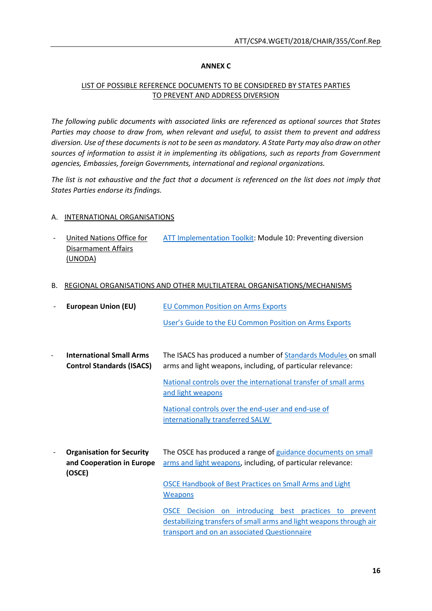### **ANNEX C**

# LIST OF POSSIBLE REFERENCE DOCUMENTS TO BE CONSIDERED BY STATES PARTIES TO PREVENT AND ADDRESS DIVERSION

*The following public documents with associated links are referenced as optional sources that States Parties may choose to draw from, when relevant and useful, to assist them to prevent and address diversion. Use of these documents is not to be seen as mandatory. A State Party may also draw on other sources of information to assist it in implementing its obligations, such as reports from Government agencies, Embassies, foreign Governments, international and regional organizations.* 

*The list is not exhaustive and the fact that a document is referenced on the list does not imply that States Parties endorse its findings.*

### A. INTERNATIONAL ORGANISATIONS

- United Nations Office for Disarmament Affairs (UNODA) [ATT Implementation Toolkit:](https://www.un.org/disarmament/att) Module 10: Preventing diversion
- B. REGIONAL ORGANISATIONS AND OTHER MULTILATERAL ORGANISATIONS/MECHANISMS

|                          | <b>European Union (EU)</b>                                              | <b>EU Common Position on Arms Exports</b>                                                                                                                                     |  |
|--------------------------|-------------------------------------------------------------------------|-------------------------------------------------------------------------------------------------------------------------------------------------------------------------------|--|
|                          |                                                                         | User's Guide to the EU Common Position on Arms Exports                                                                                                                        |  |
|                          |                                                                         |                                                                                                                                                                               |  |
|                          | <b>International Small Arms</b><br><b>Control Standards (ISACS)</b>     | The ISACS has produced a number of <b>Standards Modules</b> on small<br>arms and light weapons, including, of particular relevance:                                           |  |
|                          |                                                                         | National controls over the international transfer of small arms<br>and light weapons                                                                                          |  |
|                          |                                                                         | National controls over the end-user and end-use of<br>internationally transferred SALW                                                                                        |  |
| $\overline{\phantom{a}}$ | <b>Organisation for Security</b><br>and Cooperation in Europe<br>(OSCE) | The OSCE has produced a range of guidance documents on small<br>arms and light weapons, including, of particular relevance:                                                   |  |
|                          |                                                                         | <b>OSCE Handbook of Best Practices on Small Arms and Light</b><br><b>Weapons</b>                                                                                              |  |
|                          |                                                                         | OSCE Decision on introducing best practices to prevent<br>destabilizing transfers of small arms and light weapons through air<br>transport and on an associated Questionnaire |  |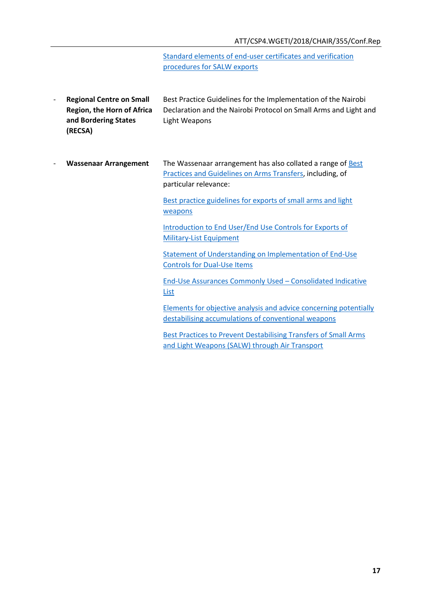[Standard elements of end-user certificates and verification](https://www.osce.org/fsc/16941?download=true)  [procedures for](https://www.osce.org/fsc/16941?download=true) SALW exports

- **Regional Centre on Small Region, the Horn of Africa and Bordering States (RECSA)** Best Practice Guidelines for the Implementation of the Nairobi Declaration and the Nairobi Protocol on Small Arms and Light and Light Weapons
- **Wassenaar Arrangement** The Wassenaar arrangement has also collated a range o[f Best](https://www.wassenaar.org/best-practices/)  [Practices and Guidelines on Arms Transfers,](https://www.wassenaar.org/best-practices/) including, of particular relevance:

[Best practice guidelines for exports of small arms and light](https://www.wassenaar.org/app/uploads/2015/06/SALW_Guidelines.pdf)  [weapons](https://www.wassenaar.org/app/uploads/2015/06/SALW_Guidelines.pdf)

[Introduction to End User/End Use Controls for Exports of](https://www.wassenaar.org/best-practices/)  [Military-List Equipment](https://www.wassenaar.org/best-practices/)

[Statement of Understanding on Implementation of End-Use](https://www.wassenaar.org/best-practices/)  [Controls for Dual-Use Items](https://www.wassenaar.org/best-practices/)

End-Use Assurances Commonly Used – [Consolidated Indicative](https://www.wassenaar.org/best-practices/)  [List](https://www.wassenaar.org/best-practices/)

[Elements for objective analysis and advice concerning potentially](https://www.wassenaar.org/best-practices/)  [destabilising accumulations of conventional weapons](https://www.wassenaar.org/best-practices/)

[Best Practices to Prevent Destabilising Transfers of Small Arms](https://www.wassenaar.org/app/uploads/2016/12/Best-Practices-for-Effective-Export-Control-Enforcement.pdf)  [and Light Weapons \(SALW\) through Air Transport](https://www.wassenaar.org/app/uploads/2016/12/Best-Practices-for-Effective-Export-Control-Enforcement.pdf)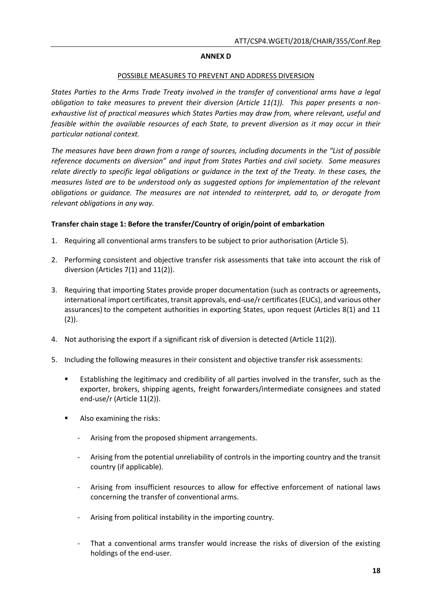### **ANNEX D**

#### POSSIBLE MEASURES TO PREVENT AND ADDRESS DIVERSION

*States Parties to the Arms Trade Treaty involved in the transfer of conventional arms have a legal obligation to take measures to prevent their diversion (Article 11(1)). This paper presents a nonexhaustive list of practical measures which States Parties may draw from, where relevant, useful and feasible within the available resources of each State, to prevent diversion as it may occur in their particular national context.* 

*The measures have been drawn from a range of sources, including documents in the "List of possible reference documents on diversion" and input from States Parties and civil society. Some measures relate directly to specific legal obligations or guidance in the text of the Treaty. In these cases, the measures listed are to be understood only as suggested options for implementation of the relevant obligations or guidance. The measures are not intended to reinterpret, add to, or derogate from relevant obligations in any way.* 

### **Transfer chain stage 1: Before the transfer/Country of origin/point of embarkation**

- 1. Requiring all conventional arms transfers to be subject to prior authorisation (Article 5).
- 2. Performing consistent and objective transfer risk assessments that take into account the risk of diversion (Articles 7(1) and 11(2)).
- 3. Requiring that importing States provide proper documentation (such as contracts or agreements, international import certificates, transit approvals, end-use/r certificates (EUCs), and various other assurances) to the competent authorities in exporting States, upon request (Articles 8(1) and 11  $(2)$ ).
- 4. Not authorising the export if a significant risk of diversion is detected (Article 11(2)).
- 5. Including the following measures in their consistent and objective transfer risk assessments:
	- Establishing the legitimacy and credibility of all parties involved in the transfer, such as the exporter, brokers, shipping agents, freight forwarders/intermediate consignees and stated end-use/r (Article 11(2)).
	- Also examining the risks:
		- Arising from the proposed shipment arrangements.
		- Arising from the potential unreliability of controls in the importing country and the transit country (if applicable).
		- Arising from insufficient resources to allow for effective enforcement of national laws concerning the transfer of conventional arms.
		- Arising from political instability in the importing country.
		- That a conventional arms transfer would increase the risks of diversion of the existing holdings of the end-user.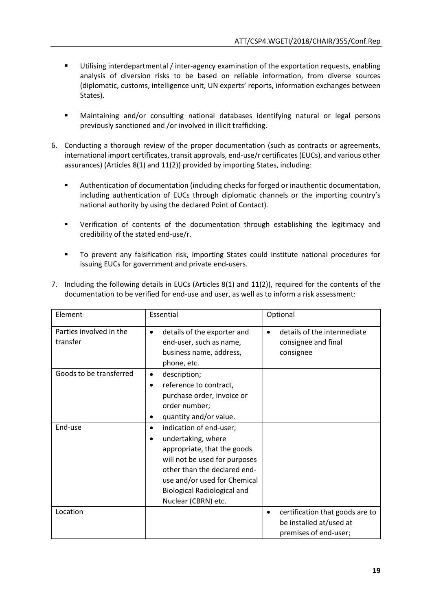- Utilising interdepartmental / inter-agency examination of the exportation requests, enabling analysis of diversion risks to be based on reliable information, from diverse sources (diplomatic, customs, intelligence unit, UN experts' reports, information exchanges between States).
- Maintaining and/or consulting national databases identifying natural or legal persons previously sanctioned and /or involved in illicit trafficking.
- 6. Conducting a thorough review of the proper documentation (such as contracts or agreements, international import certificates, transit approvals, end-use/r certificates (EUCs), and various other assurances) (Articles 8(1) and 11(2)) provided by importing States, including:
	- Authentication of documentation (including checks for forged or inauthentic documentation, including authentication of EUCs through diplomatic channels or the importing country's national authority by using the declared Point of Contact).
	- Verification of contents of the documentation through establishing the legitimacy and credibility of the stated end-use/r.
	- To prevent any falsification risk, importing States could institute national procedures for issuing EUCs for government and private end-users.

| 7. Including the following details in EUCs (Articles $8(1)$ and $11(2)$ ), required for the contents of the |
|-------------------------------------------------------------------------------------------------------------|
| documentation to be verified for end-use and user, as well as to inform a risk assessment:                  |

| Element                             | Essential                                                                                                                                                                                                                                       | Optional                                                                            |
|-------------------------------------|-------------------------------------------------------------------------------------------------------------------------------------------------------------------------------------------------------------------------------------------------|-------------------------------------------------------------------------------------|
| Parties involved in the<br>transfer | details of the exporter and<br>$\bullet$<br>end-user, such as name,<br>business name, address,<br>phone, etc.                                                                                                                                   | details of the intermediate<br>$\bullet$<br>consignee and final<br>consignee        |
| Goods to be transferred             | description;<br>$\bullet$<br>reference to contract,<br>$\bullet$<br>purchase order, invoice or<br>order number;<br>quantity and/or value.                                                                                                       |                                                                                     |
| End-use                             | indication of end-user;<br>٠<br>undertaking, where<br>appropriate, that the goods<br>will not be used for purposes<br>other than the declared end-<br>use and/or used for Chemical<br><b>Biological Radiological and</b><br>Nuclear (CBRN) etc. |                                                                                     |
| Location                            |                                                                                                                                                                                                                                                 | certification that goods are to<br>be installed at/used at<br>premises of end-user; |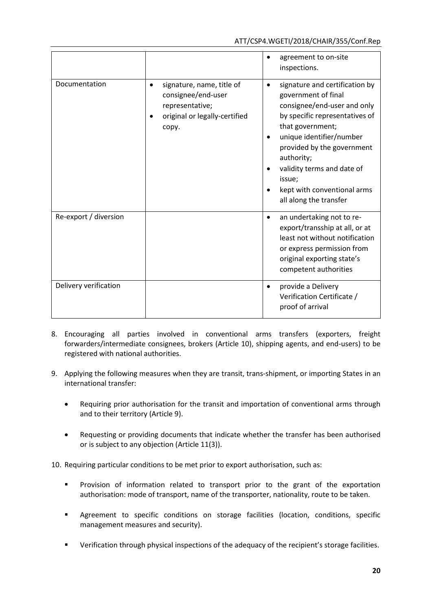|                       |                                                                                                                           | agreement to on-site<br>inspections.                                                                                                                                                                                                                                                                                             |
|-----------------------|---------------------------------------------------------------------------------------------------------------------------|----------------------------------------------------------------------------------------------------------------------------------------------------------------------------------------------------------------------------------------------------------------------------------------------------------------------------------|
| Documentation         | signature, name, title of<br>$\bullet$<br>consignee/end-user<br>representative;<br>original or legally-certified<br>copy. | signature and certification by<br>$\bullet$<br>government of final<br>consignee/end-user and only<br>by specific representatives of<br>that government;<br>unique identifier/number<br>provided by the government<br>authority;<br>validity terms and date of<br>issue;<br>kept with conventional arms<br>all along the transfer |
| Re-export / diversion |                                                                                                                           | an undertaking not to re-<br>$\bullet$<br>export/transship at all, or at<br>least not without notification<br>or express permission from<br>original exporting state's<br>competent authorities                                                                                                                                  |
| Delivery verification |                                                                                                                           | provide a Delivery<br>$\bullet$<br>Verification Certificate /<br>proof of arrival                                                                                                                                                                                                                                                |

- 8. Encouraging all parties involved in conventional arms transfers (exporters, freight forwarders/intermediate consignees, brokers (Article 10), shipping agents, and end-users) to be registered with national authorities.
- 9. Applying the following measures when they are transit, trans-shipment, or importing States in an international transfer:
	- Requiring prior authorisation for the transit and importation of conventional arms through and to their territory (Article 9).
	- Requesting or providing documents that indicate whether the transfer has been authorised or is subject to any objection (Article 11(3)).

10. Requiring particular conditions to be met prior to export authorisation, such as:

- **Provision of information related to transport prior to the grant of the exportation** authorisation: mode of transport, name of the transporter, nationality, route to be taken.
- Agreement to specific conditions on storage facilities (location, conditions, specific management measures and security).
- Verification through physical inspections of the adequacy of the recipient's storage facilities.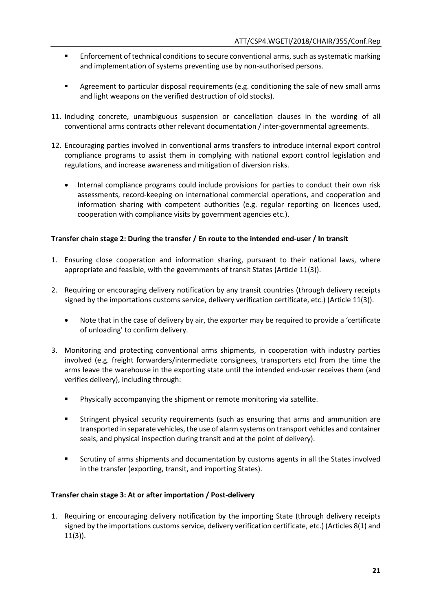- **Enforcement of technical conditions to secure conventional arms, such as systematic marking** and implementation of systems preventing use by non-authorised persons.
- Agreement to particular disposal requirements (e.g. conditioning the sale of new small arms and light weapons on the verified destruction of old stocks).
- 11. Including concrete, unambiguous suspension or cancellation clauses in the wording of all conventional arms contracts other relevant documentation / inter-governmental agreements.
- 12. Encouraging parties involved in conventional arms transfers to introduce internal export control compliance programs to assist them in complying with national export control legislation and regulations, and increase awareness and mitigation of diversion risks.
	- Internal compliance programs could include provisions for parties to conduct their own risk assessments, record-keeping on international commercial operations, and cooperation and information sharing with competent authorities (e.g. regular reporting on licences used, cooperation with compliance visits by government agencies etc.).

# **Transfer chain stage 2: During the transfer / En route to the intended end-user / In transit**

- 1. Ensuring close cooperation and information sharing, pursuant to their national laws, where appropriate and feasible, with the governments of transit States (Article 11(3)).
- 2. Requiring or encouraging delivery notification by any transit countries (through delivery receipts signed by the importations customs service, delivery verification certificate, etc.) (Article 11(3)).
	- Note that in the case of delivery by air, the exporter may be required to provide a 'certificate of unloading' to confirm delivery.
- 3. Monitoring and protecting conventional arms shipments, in cooperation with industry parties involved (e.g. freight forwarders/intermediate consignees, transporters etc) from the time the arms leave the warehouse in the exporting state until the intended end-user receives them (and verifies delivery), including through:
	- Physically accompanying the shipment or remote monitoring via satellite.
	- Stringent physical security requirements (such as ensuring that arms and ammunition are transported in separate vehicles, the use of alarm systems on transport vehicles and container seals, and physical inspection during transit and at the point of delivery).
	- Scrutiny of arms shipments and documentation by customs agents in all the States involved in the transfer (exporting, transit, and importing States).

# **Transfer chain stage 3: At or after importation / Post-delivery**

1. Requiring or encouraging delivery notification by the importing State (through delivery receipts signed by the importations customs service, delivery verification certificate, etc.) (Articles 8(1) and 11(3)).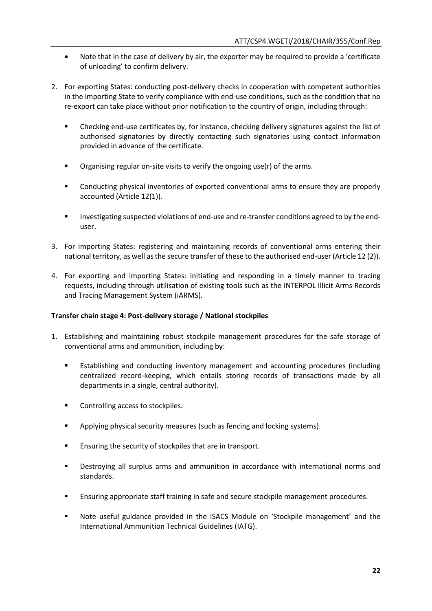- Note that in the case of delivery by air, the exporter may be required to provide a 'certificate of unloading' to confirm delivery.
- 2. For exporting States: conducting post-delivery checks in cooperation with competent authorities in the importing State to verify compliance with end-use conditions, such as the condition that no re-export can take place without prior notification to the country of origin, including through:
	- Checking end-use certificates by, for instance, checking delivery signatures against the list of authorised signatories by directly contacting such signatories using contact information provided in advance of the certificate.
	- **•** Organising regular on-site visits to verify the ongoing use(r) of the arms.
	- Conducting physical inventories of exported conventional arms to ensure they are properly accounted (Article 12(1)).
	- **Investigating suspected violations of end-use and re-transfer conditions agreed to by the end**user.
- 3. For importing States: registering and maintaining records of conventional arms entering their national territory, as well as the secure transfer of these to the authorised end-user (Article 12 (2)).
- 4. For exporting and importing States: initiating and responding in a timely manner to tracing requests, including through utilisation of existing tools such as the INTERPOL Illicit Arms Records and Tracing Management System (iARMS).

# **Transfer chain stage 4: Post-delivery storage / National stockpiles**

- 1. Establishing and maintaining robust stockpile management procedures for the safe storage of conventional arms and ammunition, including by:
	- Establishing and conducting inventory management and accounting procedures (including centralized record-keeping, which entails storing records of transactions made by all departments in a single, central authority).
	- **Controlling access to stockpiles.**
	- **Applying physical security measures (such as fencing and locking systems).**
	- **Ensuring the security of stockpiles that are in transport.**
	- Destroying all surplus arms and ammunition in accordance with international norms and standards.
	- Ensuring appropriate staff training in safe and secure stockpile management procedures.
	- Note useful guidance provided in the ISACS Module on 'Stockpile management' and the International Ammunition Technical Guidelines (IATG).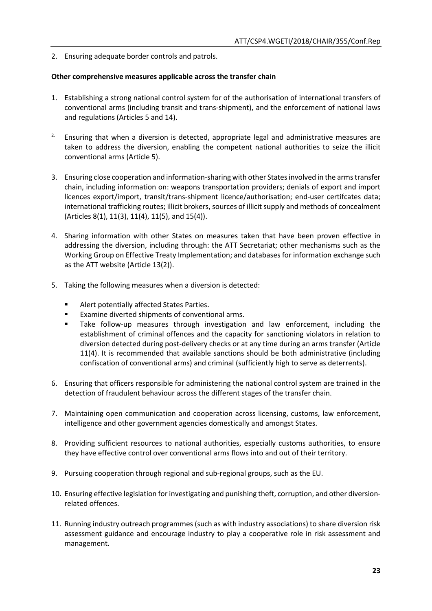2. Ensuring adequate border controls and patrols.

### **Other comprehensive measures applicable across the transfer chain**

- 1. Establishing a strong national control system for of the authorisation of international transfers of conventional arms (including transit and trans-shipment), and the enforcement of national laws and regulations (Articles 5 and 14).
- 2. Ensuring that when a diversion is detected, appropriate legal and administrative measures are taken to address the diversion, enabling the competent national authorities to seize the illicit conventional arms (Article 5).
- 3. Ensuring close cooperation and information-sharing with other States involved in the arms transfer chain, including information on: weapons transportation providers; denials of export and import licences export/import, transit/trans-shipment licence/authorisation; end-user certifcates data; international trafficking routes; illicit brokers, sources of illicit supply and methods of concealment (Articles 8(1), 11(3), 11(4), 11(5), and 15(4)).
- 4. Sharing information with other States on measures taken that have been proven effective in addressing the diversion, including through: the ATT Secretariat; other mechanisms such as the Working Group on Effective Treaty Implementation; and databases for information exchange such as the ATT website (Article 13(2)).
- 5. Taking the following measures when a diversion is detected:
	- Alert potentially affected States Parties.
	- **Examine diverted shipments of conventional arms.**
	- Take follow-up measures through investigation and law enforcement, including the establishment of criminal offences and the capacity for sanctioning violators in relation to diversion detected during post-delivery checks or at any time during an arms transfer (Article 11(4). It is recommended that available sanctions should be both administrative (including confiscation of conventional arms) and criminal (sufficiently high to serve as deterrents).
- 6. Ensuring that officers responsible for administering the national control system are trained in the detection of fraudulent behaviour across the different stages of the transfer chain.
- 7. Maintaining open communication and cooperation across licensing, customs, law enforcement, intelligence and other government agencies domestically and amongst States.
- 8. Providing sufficient resources to national authorities, especially customs authorities, to ensure they have effective control over conventional arms flows into and out of their territory.
- 9. Pursuing cooperation through regional and sub-regional groups, such as the EU.
- 10. Ensuring effective legislation for investigating and punishing theft, corruption, and other diversionrelated offences.
- 11. Running industry outreach programmes (such as with industry associations) to share diversion risk assessment guidance and encourage industry to play a cooperative role in risk assessment and management.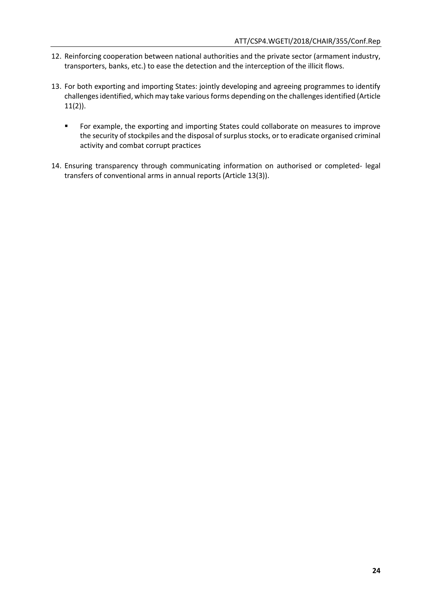- 12. Reinforcing cooperation between national authorities and the private sector (armament industry, transporters, banks, etc.) to ease the detection and the interception of the illicit flows.
- 13. For both exporting and importing States: jointly developing and agreeing programmes to identify challenges identified, which may take various forms depending on the challenges identified (Article 11(2)).
	- **FORE EXAMPLE THE EXAMPLE AND FOR EXAMPLE THE EXAMPLE FOR EXAMPLE FIGURE:** For example, the exporting and improve the security of stockpiles and the disposal of surplus stocks, or to eradicate organised criminal activity and combat corrupt practices
- 14. Ensuring transparency through communicating information on authorised or completed- legal transfers of conventional arms in annual reports (Article 13(3)).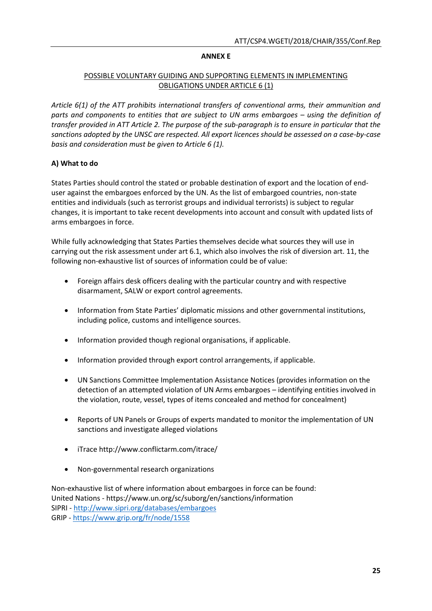### **ANNEX E**

# POSSIBLE VOLUNTARY GUIDING AND SUPPORTING ELEMENTS IN IMPLEMENTING OBLIGATIONS UNDER ARTICLE 6 (1)

*Article 6(1) of the ATT prohibits international transfers of conventional arms, their ammunition and parts and components to entities that are subject to UN arms embargoes – using the definition of transfer provided in ATT Article 2. The purpose of the sub-paragraph is to ensure in particular that the sanctions adopted by the UNSC are respected. All export licences should be assessed on a case-by-case basis and consideration must be given to Article 6 (1).*

# **A) What to do**

States Parties should control the stated or probable destination of export and the location of enduser against the embargoes enforced by the UN. As the list of embargoed countries, non-state entities and individuals (such as terrorist groups and individual terrorists) is subject to regular changes, it is important to take recent developments into account and consult with updated lists of arms embargoes in force.

While fully acknowledging that States Parties themselves decide what sources they will use in carrying out the risk assessment under art 6.1, which also involves the risk of diversion art. 11, the following non-exhaustive list of sources of information could be of value:

- Foreign affairs desk officers dealing with the particular country and with respective disarmament, SALW or export control agreements.
- Information from State Parties' diplomatic missions and other governmental institutions, including police, customs and intelligence sources.
- Information provided though regional organisations, if applicable.
- Information provided through export control arrangements, if applicable.
- UN Sanctions Committee Implementation Assistance Notices (provides information on the detection of an attempted violation of UN Arms embargoes – identifying entities involved in the violation, route, vessel, types of items concealed and method for concealment)
- Reports of UN Panels or Groups of experts mandated to monitor the implementation of UN sanctions and investigate alleged violations
- iTrace http://www.conflictarm.com/itrace/
- Non-governmental research organizations

Non-exhaustive list of where information about embargoes in force can be found: United Nations - https://www.un.org/sc/suborg/en/sanctions/information SIPRI - <http://www.sipri.org/databases/embargoes> GRIP - <https://www.grip.org/fr/node/1558>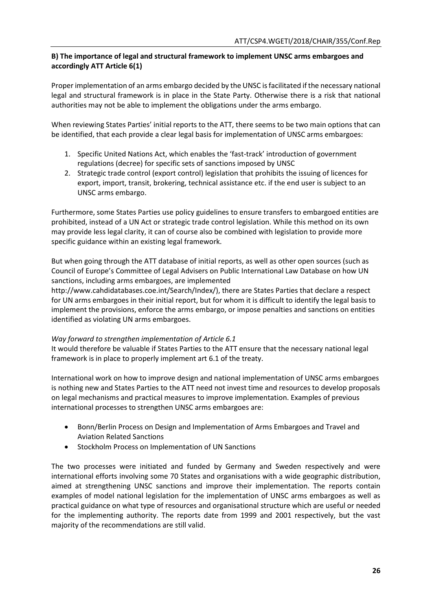# **B) The importance of legal and structural framework to implement UNSC arms embargoes and accordingly ATT Article 6(1)**

Proper implementation of an arms embargo decided by the UNSC is facilitated if the necessary national legal and structural framework is in place in the State Party. Otherwise there is a risk that national authorities may not be able to implement the obligations under the arms embargo.

When reviewing States Parties' initial reports to the ATT, there seems to be two main options that can be identified, that each provide a clear legal basis for implementation of UNSC arms embargoes:

- 1. Specific United Nations Act, which enables the 'fast-track' introduction of government regulations (decree) for specific sets of sanctions imposed by UNSC
- 2. Strategic trade control (export control) legislation that prohibits the issuing of licences for export, import, transit, brokering, technical assistance etc. if the end user is subject to an UNSC arms embargo.

Furthermore, some States Parties use policy guidelines to ensure transfers to embargoed entities are prohibited, instead of a UN Act or strategic trade control legislation. While this method on its own may provide less legal clarity, it can of course also be combined with legislation to provide more specific guidance within an existing legal framework.

But when going through the ATT database of initial reports, as well as other open sources (such as Council of Europe's Committee of Legal Advisers on Public International Law Database on how UN sanctions, including arms embargoes, are implemented

http://www.cahdidatabases.coe.int/Search/Index/), there are States Parties that declare a respect for UN arms embargoes in their initial report, but for whom it is difficult to identify the legal basis to implement the provisions, enforce the arms embargo, or impose penalties and sanctions on entities identified as violating UN arms embargoes.

# *Way forward to strengthen implementation of Article 6.1*

It would therefore be valuable if States Parties to the ATT ensure that the necessary national legal framework is in place to properly implement art 6.1 of the treaty.

International work on how to improve design and national implementation of UNSC arms embargoes is nothing new and States Parties to the ATT need not invest time and resources to develop proposals on legal mechanisms and practical measures to improve implementation. Examples of previous international processes to strengthen UNSC arms embargoes are:

- **•** Bonn/Berlin Process on Design and Implementation of Arms Embargoes and Travel and Aviation Related Sanctions
- Stockholm Process on Implementation of UN Sanctions

The two processes were initiated and funded by Germany and Sweden respectively and were international efforts involving some 70 States and organisations with a wide geographic distribution, aimed at strengthening UNSC sanctions and improve their implementation. The reports contain examples of model national legislation for the implementation of UNSC arms embargoes as well as practical guidance on what type of resources and organisational structure which are useful or needed for the implementing authority. The reports date from 1999 and 2001 respectively, but the vast majority of the recommendations are still valid.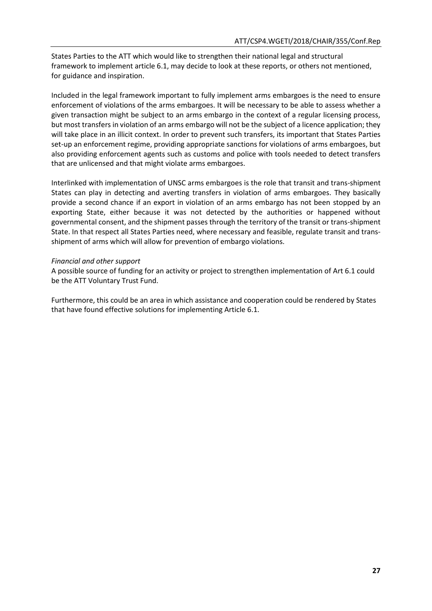States Parties to the ATT which would like to strengthen their national legal and structural framework to implement article 6.1, may decide to look at these reports, or others not mentioned, for guidance and inspiration.

Included in the legal framework important to fully implement arms embargoes is the need to ensure enforcement of violations of the arms embargoes. It will be necessary to be able to assess whether a given transaction might be subject to an arms embargo in the context of a regular licensing process, but most transfers in violation of an arms embargo will not be the subject of a licence application; they will take place in an illicit context. In order to prevent such transfers, its important that States Parties set-up an enforcement regime, providing appropriate sanctions for violations of arms embargoes, but also providing enforcement agents such as customs and police with tools needed to detect transfers that are unlicensed and that might violate arms embargoes.

Interlinked with implementation of UNSC arms embargoes is the role that transit and trans-shipment States can play in detecting and averting transfers in violation of arms embargoes. They basically provide a second chance if an export in violation of an arms embargo has not been stopped by an exporting State, either because it was not detected by the authorities or happened without governmental consent, and the shipment passes through the territory of the transit or trans-shipment State. In that respect all States Parties need, where necessary and feasible, regulate transit and transshipment of arms which will allow for prevention of embargo violations.

### *Financial and other support*

A possible source of funding for an activity or project to strengthen implementation of Art 6.1 could be the ATT Voluntary Trust Fund.

Furthermore, this could be an area in which assistance and cooperation could be rendered by States that have found effective solutions for implementing Article 6.1.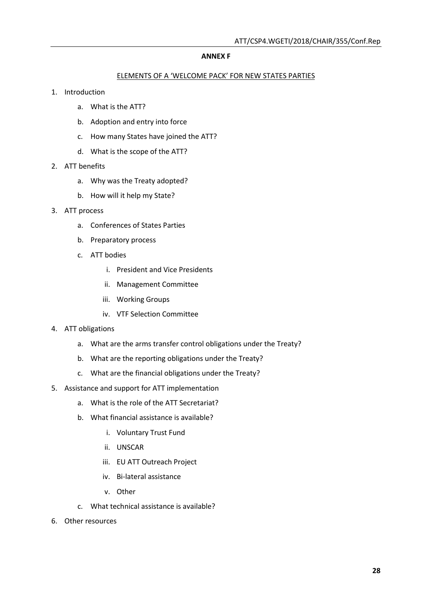#### **ANNEX F**

### ELEMENTS OF A 'WELCOME PACK' FOR NEW STATES PARTIES

- 1. Introduction
	- a. What is the ATT?
	- b. Adoption and entry into force
	- c. How many States have joined the ATT?
	- d. What is the scope of the ATT?
- 2. ATT benefits
	- a. Why was the Treaty adopted?
	- b. How will it help my State?
- 3. ATT process
	- a. Conferences of States Parties
	- b. Preparatory process
	- c. ATT bodies
		- i. President and Vice Presidents
		- ii. Management Committee
		- iii. Working Groups
		- iv. VTF Selection Committee
- 4. ATT obligations
	- a. What are the arms transfer control obligations under the Treaty?
	- b. What are the reporting obligations under the Treaty?
	- c. What are the financial obligations under the Treaty?
- 5. Assistance and support for ATT implementation
	- a. What is the role of the ATT Secretariat?
	- b. What financial assistance is available?
		- i. Voluntary Trust Fund
		- ii. UNSCAR
		- iii. EU ATT Outreach Project
		- iv. Bi-lateral assistance
		- v. Other
	- c. What technical assistance is available?
- 6. Other resources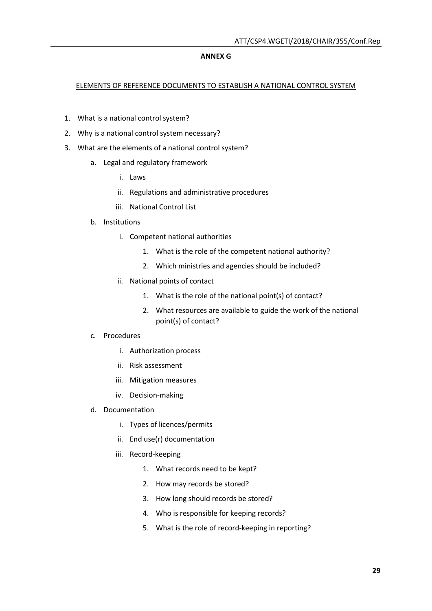### **ANNEX G**

### ELEMENTS OF REFERENCE DOCUMENTS TO ESTABLISH A NATIONAL CONTROL SYSTEM

- 1. What is a national control system?
- 2. Why is a national control system necessary?
- 3. What are the elements of a national control system?
	- a. Legal and regulatory framework
		- i. Laws
		- ii. Regulations and administrative procedures
		- iii. National Control List
	- b. Institutions
		- i. Competent national authorities
			- 1. What is the role of the competent national authority?
			- 2. Which ministries and agencies should be included?
		- ii. National points of contact
			- 1. What is the role of the national point(s) of contact?
			- 2. What resources are available to guide the work of the national point(s) of contact?
	- c. Procedures
		- i. Authorization process
		- ii. Risk assessment
		- iii. Mitigation measures
		- iv. Decision-making
	- d. Documentation
		- i. Types of licences/permits
		- ii. End use(r) documentation
		- iii. Record-keeping
			- 1. What records need to be kept?
			- 2. How may records be stored?
			- 3. How long should records be stored?
			- 4. Who is responsible for keeping records?
			- 5. What is the role of record-keeping in reporting?